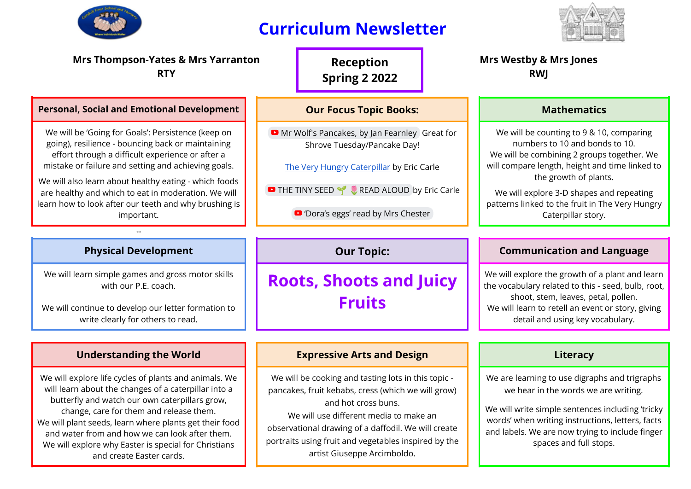

# **Curriculum Newsletter**



and labels. We are now trying to include finger spaces and full stops.

| <b>Mrs Thompson-Yates &amp; Mrs Yarranton</b><br><b>RTY</b>                                                                                                                                                                                                          |                                                                                                                                                                            | <b>Reception</b><br><b>Spring 2 2022</b> |  | <b>Mrs Westby &amp; Mrs Jones</b><br><b>RWJ</b>                                                                                                                                                                                       |                                                                                                                                                                                                     |  |
|----------------------------------------------------------------------------------------------------------------------------------------------------------------------------------------------------------------------------------------------------------------------|----------------------------------------------------------------------------------------------------------------------------------------------------------------------------|------------------------------------------|--|---------------------------------------------------------------------------------------------------------------------------------------------------------------------------------------------------------------------------------------|-----------------------------------------------------------------------------------------------------------------------------------------------------------------------------------------------------|--|
| <b>Personal, Social and Emotional Development</b>                                                                                                                                                                                                                    | <b>Our Focus Topic Books:</b>                                                                                                                                              |                                          |  | <b>Mathematics</b>                                                                                                                                                                                                                    |                                                                                                                                                                                                     |  |
| We will be 'Going for Goals': Persistence (keep on<br>going), resilience - bouncing back or maintaining<br>effort through a difficult experience or after a<br>mistake or failure and setting and achieving goals.                                                   | Mr Wolf's Pancakes, by Jan Fearnley Great for<br>Shrove Tuesday/Pancake Day!<br>The Very Hungry Caterpillar by Eric Carle                                                  |                                          |  |                                                                                                                                                                                                                                       | We will be counting to 9 & 10, comparing<br>numbers to 10 and bonds to 10.<br>We will be combining 2 groups together. We<br>will compare length, height and time linked to<br>the growth of plants. |  |
| We will also learn about healthy eating - which foods<br>are healthy and which to eat in moderation. We will<br>learn how to look after our teeth and why brushing is<br>important.                                                                                  | THE TINY SEED Y READ ALOUD by Eric Carle<br>D 'Dora's eggs' read by Mrs Chester                                                                                            |                                          |  |                                                                                                                                                                                                                                       | We will explore 3-D shapes and repeating<br>patterns linked to the fruit in The Very Hungry<br>Caterpillar story.                                                                                   |  |
| Or th                                                                                                                                                                                                                                                                |                                                                                                                                                                            |                                          |  |                                                                                                                                                                                                                                       |                                                                                                                                                                                                     |  |
| <b>Physical Development</b>                                                                                                                                                                                                                                          | <b>Our Topic:</b>                                                                                                                                                          |                                          |  |                                                                                                                                                                                                                                       | <b>Communication and Language</b>                                                                                                                                                                   |  |
| We will learn simple games and gross motor skills<br>with our P.E. coach.<br>We will continue to develop our letter formation to<br>write clearly for others to read.                                                                                                | <b>Roots, Shoots and Juicy</b><br><b>Fruits</b>                                                                                                                            |                                          |  | We will explore the growth of a plant and learn<br>the vocabulary related to this - seed, bulb, root,<br>shoot, stem, leaves, petal, pollen.<br>We will learn to retell an event or story, giving<br>detail and using key vocabulary. |                                                                                                                                                                                                     |  |
|                                                                                                                                                                                                                                                                      |                                                                                                                                                                            |                                          |  |                                                                                                                                                                                                                                       |                                                                                                                                                                                                     |  |
| <b>Understanding the World</b>                                                                                                                                                                                                                                       | <b>Expressive Arts and Design</b>                                                                                                                                          |                                          |  |                                                                                                                                                                                                                                       | Literacy                                                                                                                                                                                            |  |
| We will explore life cycles of plants and animals. We<br>will learn about the changes of a caterpillar into a<br>butterfly and watch our own caterpillars grow,<br>change, care for them and release them.<br>We will plant seeds, learn where plants get their food | We will be cooking and tasting lots in this topic -<br>pancakes, fruit kebabs, cress (which we will grow)<br>and hot cross buns.<br>We will use different media to make an |                                          |  | We are learning to use digraphs and trigraphs<br>we hear in the words we are writing.<br>We will write simple sentences including 'tricky<br>words' when writing instructions, letters, facts                                         |                                                                                                                                                                                                     |  |

We will plant seeds, learn where plants get their food and water from and how we can look after them. We will explore why Easter is special for Christians and create Easter cards. observational drawing of a daffodil. We will create portraits using fruit and vegetables inspired by the artist Giuseppe Arcimboldo.